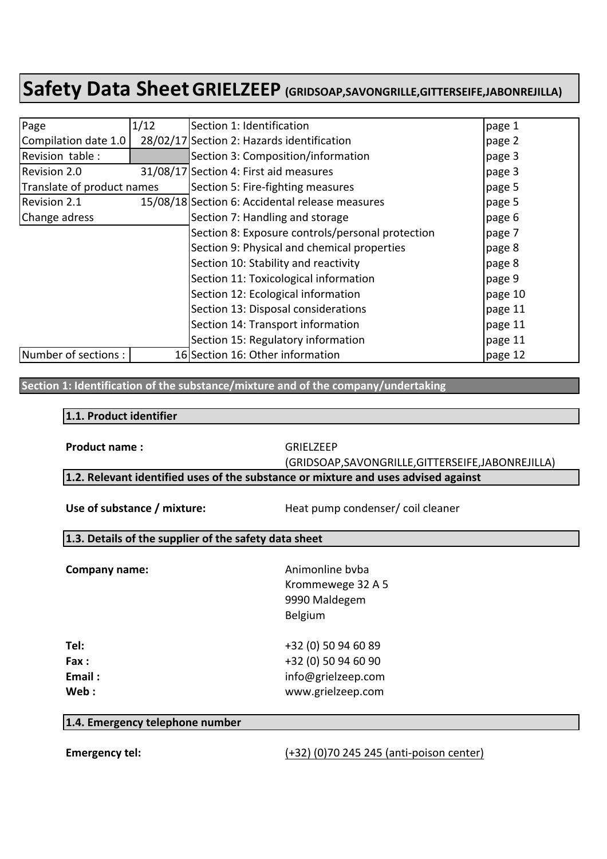| Page                       | 1/12 | Section 1: Identification                        | page 1  |
|----------------------------|------|--------------------------------------------------|---------|
| Compilation date 1.0       |      | 28/02/17 Section 2: Hazards identification       | page 2  |
| Revision table:            |      | Section 3: Composition/information               | page 3  |
| Revision 2.0               |      | 31/08/17 Section 4: First aid measures           | page 3  |
| Translate of product names |      | Section 5: Fire-fighting measures                | page 5  |
| Revision 2.1               |      | 15/08/18 Section 6: Accidental release measures  | page 5  |
| Change adress              |      | Section 7: Handling and storage                  | page 6  |
|                            |      | Section 8: Exposure controls/personal protection | page 7  |
|                            |      | Section 9: Physical and chemical properties      | page 8  |
|                            |      | Section 10: Stability and reactivity             | page 8  |
|                            |      | Section 11: Toxicological information            | page 9  |
|                            |      | Section 12: Ecological information               | page 10 |
|                            |      | Section 13: Disposal considerations              | page 11 |
|                            |      | Section 14: Transport information                | page 11 |
|                            |      | Section 15: Regulatory information               | page 11 |
| Number of sections :       |      | 16 Section 16: Other information                 | page 12 |

#### **Section 1: Identification of the substance/mixture and of the company/undertaking**

#### **1.1. Product identifier**

**Product name:** GRIELZEEP

(GRIDSOAP,SAVONGRILLE,GITTERSEIFE,JABONREJILLA)

1.2. Relevant identified uses of the substance or mixture and uses advised against

Use of substance / mixture: Heat pump condenser/ coil cleaner

#### **1.3. Details of the supplier of the safety data sheet**

| Company name: | Animonline byba<br>Krommewege 32 A 5<br>9990 Maldegem<br>Belgium |
|---------------|------------------------------------------------------------------|
| Tel:          | +32 (0) 50 94 60 89                                              |
| Fax:          | +32 (0) 50 94 60 90                                              |
| Email:        | info@grielzeep.com                                               |
| Web:          | www.grielzeep.com                                                |

#### **1.4. Emergency telephone number**

#### **Emergency tel:**  $(+32)(0)70 245 245 (anti-poison center)$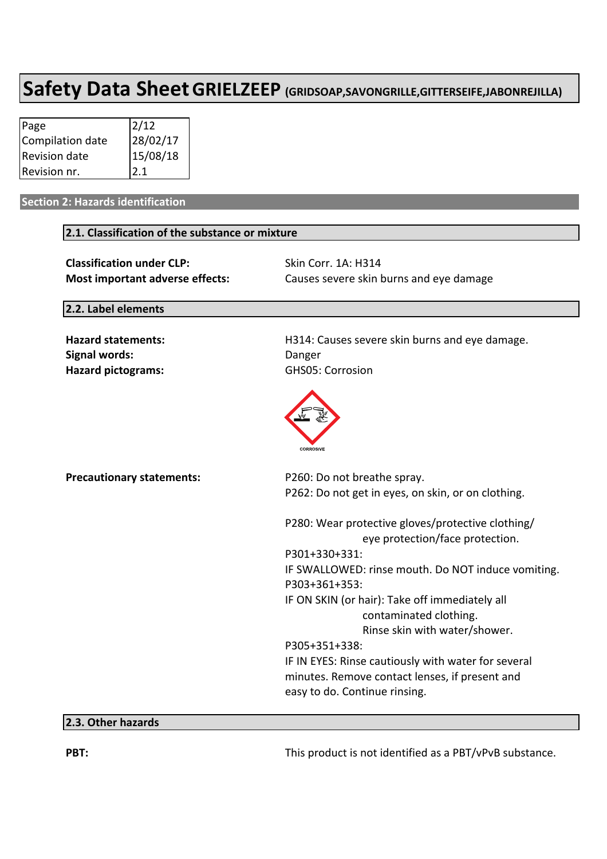| Page             | 2/12                   |
|------------------|------------------------|
| Compilation date |                        |
| Revision date    | $28/02/17$<br>15/08/18 |
| Revision nr.     | 2.1                    |

#### **Section 2: Hazards identification**

#### **2.1. Classification of the substance or mixture**

**Classification under CLP:** Skin Corr. 1A: H314

**Most important adverse effects:** Causes severe skin burns and eye damage

#### **2.2. Label elements**

**Signal words:** Danger Hazard pictograms: GHS05: Corrosion

Hazard statements: **H314:** Causes severe skin burns and eye damage.



| <b>Precautionary statements:</b> | P260: Do not breathe spray.                                                          |
|----------------------------------|--------------------------------------------------------------------------------------|
|                                  | P262: Do not get in eyes, on skin, or on clothing.                                   |
|                                  | P280: Wear protective gloves/protective clothing/<br>eye protection/face protection. |
|                                  | P301+330+331:                                                                        |
|                                  | IF SWALLOWED: rinse mouth. Do NOT induce vomiting.                                   |
|                                  | P303+361+353:                                                                        |
|                                  | IF ON SKIN (or hair): Take off immediately all                                       |
|                                  | contaminated clothing.                                                               |
|                                  | Rinse skin with water/shower.                                                        |
|                                  | P305+351+338:                                                                        |
|                                  | IF IN EYES: Rinse cautiously with water for several                                  |
|                                  | minutes. Remove contact lenses, if present and<br>easy to do. Continue rinsing.      |
|                                  |                                                                                      |

#### **2.3. Other hazards**

**PBT:** This product is not identified as a PBT/vPvB substance.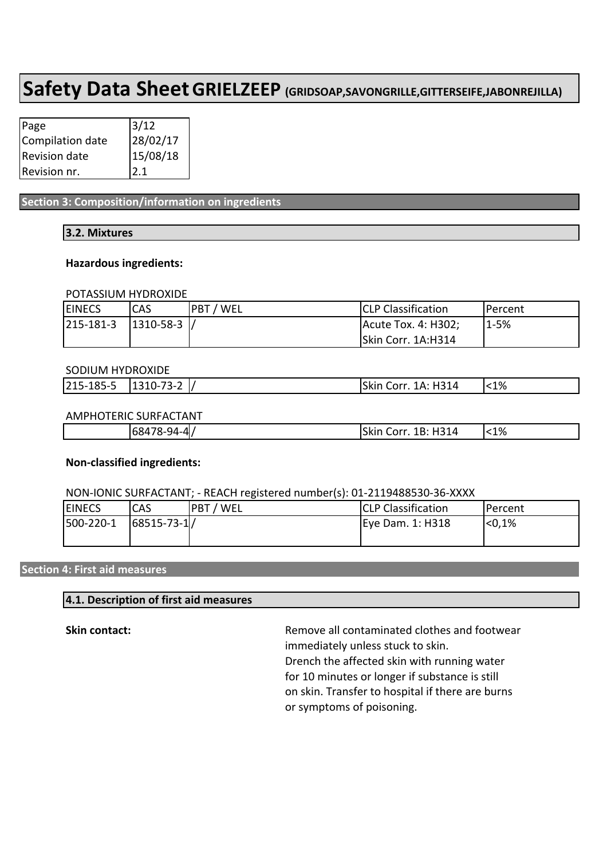| Page             | 3/12                   |
|------------------|------------------------|
| Compilation date |                        |
| Revision date    | $28/02/17$<br>15/08/18 |
| Revision nr.     | 2.1                    |

**Section 3: Composition/information on ingredients** 

#### **3.2. Mixtures**

#### **Hazardous ingredients:**

#### POTASSIUM HYDROXIDE

| <b>EINECS</b>               | ICAS | <b>IPBT / WEL</b> | <b>CLP Classification</b> | IPercent |
|-----------------------------|------|-------------------|---------------------------|----------|
| $ 215-181-3 $ $ 1310-58-3 $ |      |                   | Acute Tox. 4: H302;       | $1 - 5%$ |
|                             |      |                   | Skin Corr. 1A:H314        |          |

#### SODIUM HYDROXIDE

| _____<br>_______<br>215-185-5 | 70 O<br>ה 1<br>. .<br>¬–<br>. | H314<br>$1\Delta$<br>Skin<br>∣∩rr | $1\%$ |
|-------------------------------|-------------------------------|-----------------------------------|-------|
|                               |                               |                                   |       |

#### AMPHOTERIC SURFACTANT

| п. | .சு.⊿ப<br>1684<br>л.<br>. | - ג<br>---<br>skır<br>1 Z<br>.<br>м | $< 1\%$ |
|----|---------------------------|-------------------------------------|---------|
|----|---------------------------|-------------------------------------|---------|

#### **Non-classified ingredients:**

#### NON-IONIC SURFACTANT: - REACH registered number(s): 01-2119488530-36-XXXX

| <b>EINECS</b> | CAS                | <b>PBT</b><br><b>WEL</b> | <b>CLP Classification</b> | IPercent        |
|---------------|--------------------|--------------------------|---------------------------|-----------------|
| 500-220-1     | $ 68515 - 73 - 1 $ |                          | Eye Dam. 1: H318          | <sub>0.1%</sub> |
|               |                    |                          |                           |                 |

#### **Section 4: First aid measures**

#### **4.1. Description of first aid measures**

**Skin contact:** The setting of the Remove all contaminated clothes and footwear immediately unless stuck to skin. Drench the affected skin with running water for 10 minutes or longer if substance is still on skin. Transfer to hospital if there are burns or symptoms of poisoning.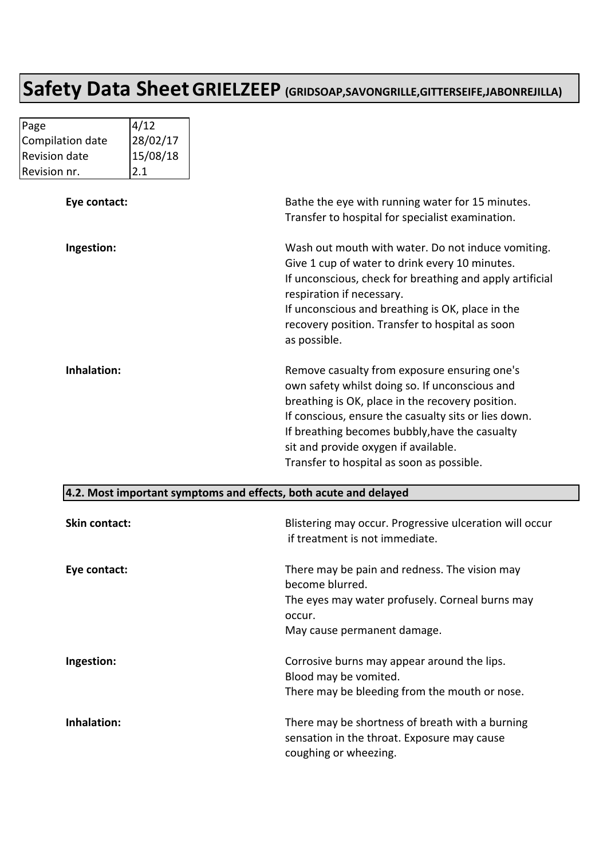| Page             | 4/12     |                                                                                                            |
|------------------|----------|------------------------------------------------------------------------------------------------------------|
| Compilation date | 28/02/17 |                                                                                                            |
| Revision date    | 15/08/18 |                                                                                                            |
| Revision nr.     | 2.1      |                                                                                                            |
| Eye contact:     |          | Bathe the eye with running water for 15 minutes.                                                           |
|                  |          | Transfer to hospital for specialist examination.                                                           |
| Ingestion:       |          | Wash out mouth with water. Do not induce vomiting.                                                         |
|                  |          | Give 1 cup of water to drink every 10 minutes.<br>If unconscious, check for breathing and apply artificial |
|                  |          | respiration if necessary.                                                                                  |
|                  |          | If unconscious and breathing is OK, place in the                                                           |
|                  |          | recovery position. Transfer to hospital as soon                                                            |
|                  |          | as possible.                                                                                               |
| Inhalation:      |          | Remove casualty from exposure ensuring one's                                                               |
|                  |          | own safety whilst doing so. If unconscious and                                                             |
|                  |          | breathing is OK, place in the recovery position.                                                           |
|                  |          | If conscious, ensure the casualty sits or lies down.                                                       |
|                  |          | If breathing becomes bubbly, have the casualty                                                             |
|                  |          | sit and provide oxygen if available.                                                                       |
|                  |          | Transfer to hospital as soon as possible.                                                                  |

#### **4.2. Most important symptoms and effects, both acute and delayed**

| <b>Skin contact:</b> | Blistering may occur. Progressive ulceration will occur<br>if treatment is not immediate.                                                                    |
|----------------------|--------------------------------------------------------------------------------------------------------------------------------------------------------------|
| Eye contact:         | There may be pain and redness. The vision may<br>become blurred.<br>The eyes may water profusely. Corneal burns may<br>occur.<br>May cause permanent damage. |
| Ingestion:           | Corrosive burns may appear around the lips.<br>Blood may be vomited.<br>There may be bleeding from the mouth or nose.                                        |
| Inhalation:          | There may be shortness of breath with a burning<br>sensation in the throat. Exposure may cause<br>coughing or wheezing.                                      |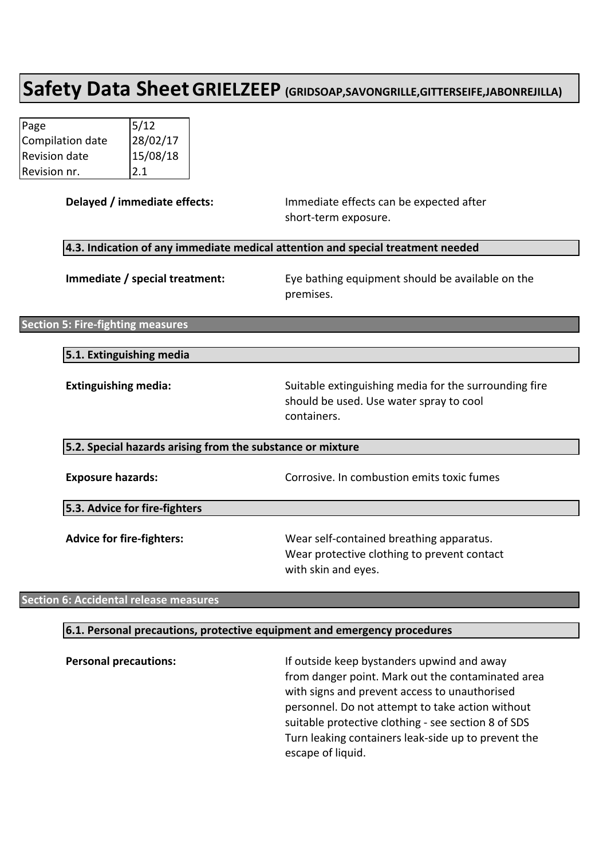| Page             | 5/12                   |
|------------------|------------------------|
| Compilation date |                        |
| Revision date    | $28/02/17$<br>15/08/18 |
| Revision nr.     | 2.1                    |

| Delayed / immediate effects:                               | Immediate effects can be expected after<br>short-term exposure.                                                 |
|------------------------------------------------------------|-----------------------------------------------------------------------------------------------------------------|
|                                                            | 4.3. Indication of any immediate medical attention and special treatment needed                                 |
| Immediate / special treatment:                             | Eye bathing equipment should be available on the<br>premises.                                                   |
| <b>Section 5: Fire-fighting measures</b>                   |                                                                                                                 |
| 5.1. Extinguishing media                                   |                                                                                                                 |
| <b>Extinguishing media:</b>                                | Suitable extinguishing media for the surrounding fire<br>should be used. Use water spray to cool<br>containers. |
| 5.2. Special hazards arising from the substance or mixture |                                                                                                                 |
| <b>Exposure hazards:</b>                                   | Corrosive. In combustion emits toxic fumes                                                                      |
| 5.3. Advice for fire-fighters                              |                                                                                                                 |
| <b>Advice for fire-fighters:</b>                           | Wear self-contained breathing apparatus.<br>Wear protective clothing to prevent contact<br>with skin and eyes.  |

#### **Section 6: Accidental release measures**

#### **6.1. Personal precautions, protective equipment and emergency procedures**

**Personal precautions:** If outside keep bystanders upwind and away from danger point. Mark out the contaminated area with signs and prevent access to unauthorised personnel. Do not attempt to take action without suitable protective clothing - see section 8 of SDS Turn leaking containers leak-side up to prevent the escape of liquid.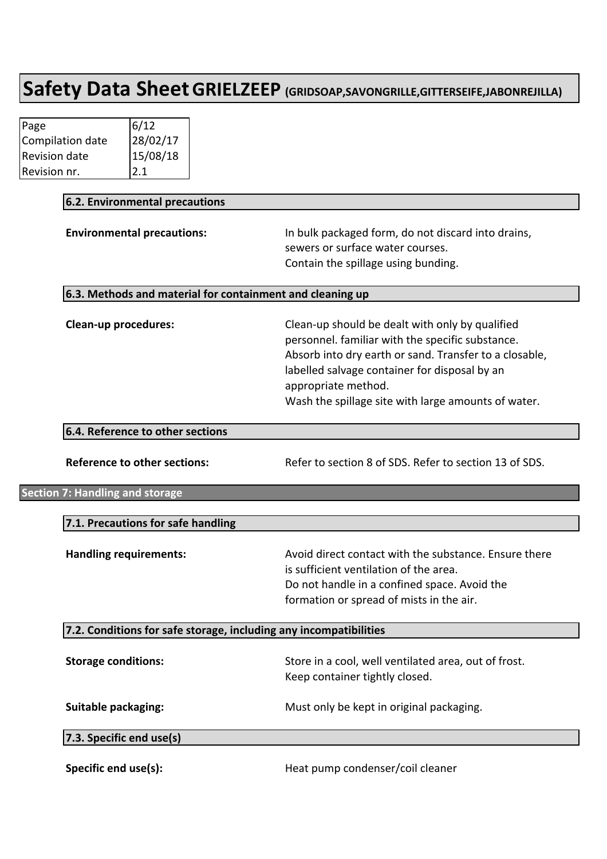| Page             | 6/12                   |
|------------------|------------------------|
| Compilation date |                        |
| Revision date    | $28/02/17$<br>15/08/18 |
| Revision nr.     | 2.1                    |

| 6.2. Environmental precautions                                    |                                                                                                                                                                                                                                                                                              |
|-------------------------------------------------------------------|----------------------------------------------------------------------------------------------------------------------------------------------------------------------------------------------------------------------------------------------------------------------------------------------|
| <b>Environmental precautions:</b>                                 | In bulk packaged form, do not discard into drains,<br>sewers or surface water courses.<br>Contain the spillage using bunding.                                                                                                                                                                |
| 6.3. Methods and material for containment and cleaning up         |                                                                                                                                                                                                                                                                                              |
| <b>Clean-up procedures:</b>                                       | Clean-up should be dealt with only by qualified<br>personnel. familiar with the specific substance.<br>Absorb into dry earth or sand. Transfer to a closable,<br>labelled salvage container for disposal by an<br>appropriate method.<br>Wash the spillage site with large amounts of water. |
| 6.4. Reference to other sections                                  |                                                                                                                                                                                                                                                                                              |
| <b>Reference to other sections:</b>                               | Refer to section 8 of SDS. Refer to section 13 of SDS.                                                                                                                                                                                                                                       |
| <b>Section 7: Handling and storage</b>                            |                                                                                                                                                                                                                                                                                              |
| 7.1. Precautions for safe handling                                |                                                                                                                                                                                                                                                                                              |
| <b>Handling requirements:</b>                                     | Avoid direct contact with the substance. Ensure there<br>is sufficient ventilation of the area.<br>Do not handle in a confined space. Avoid the<br>formation or spread of mists in the air.                                                                                                  |
| 7.2. Conditions for safe storage, including any incompatibilities |                                                                                                                                                                                                                                                                                              |
| <b>Storage conditions:</b>                                        | Store in a cool, well ventilated area, out of frost.<br>Keep container tightly closed.                                                                                                                                                                                                       |
| <b>Suitable packaging:</b>                                        | Must only be kept in original packaging.                                                                                                                                                                                                                                                     |
| 7.3. Specific end use(s)                                          |                                                                                                                                                                                                                                                                                              |
| Specific end use(s):                                              | Heat pump condenser/coil cleaner                                                                                                                                                                                                                                                             |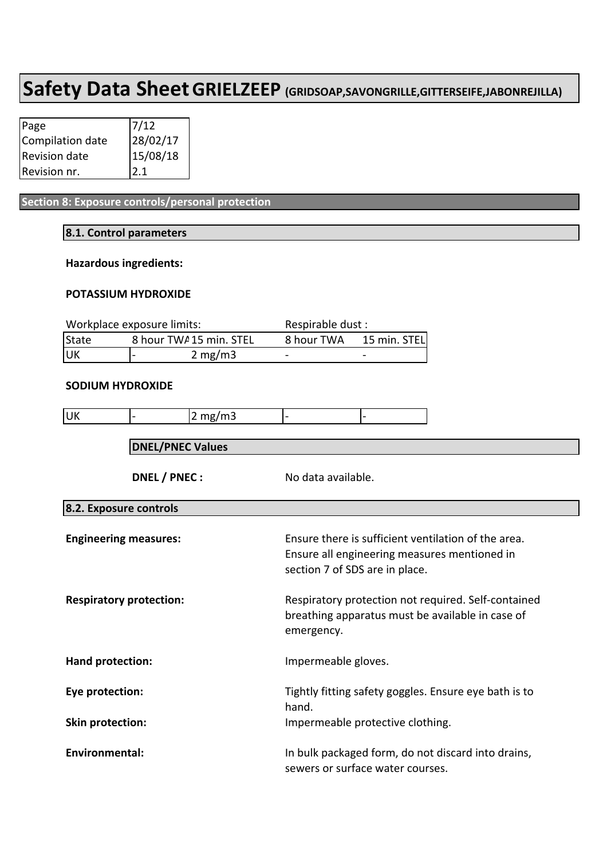| Page             | 7/12                   |
|------------------|------------------------|
| Compilation date |                        |
| Revision date    | $28/02/17$<br>15/08/18 |
| Revision nr.     | 2.1                    |

**Section 8: Exposure controls/personal protection** 

#### **8.1. Control parameters**

#### **Hazardous ingredients:**

#### **POTASSIUM HYDROXIDE**

| Workplace exposure limits:       |              | Respirable dust : |                          |
|----------------------------------|--------------|-------------------|--------------------------|
| State<br>8 hour TWA 15 min. STEL |              | 8 hour TWA        | 15 min. STEL             |
| <b>JUK</b>                       | 2 mg/m3<br>- |                   | $\overline{\phantom{a}}$ |

#### **SODIUM HYDROXIDE**

| UK                             |                                                             | 2 mg/m3                                                        |                                                                                        |                                                                                                         |                                                                                                     |
|--------------------------------|-------------------------------------------------------------|----------------------------------------------------------------|----------------------------------------------------------------------------------------|---------------------------------------------------------------------------------------------------------|-----------------------------------------------------------------------------------------------------|
|                                | <b>DNEL/PNEC Values</b>                                     |                                                                |                                                                                        |                                                                                                         |                                                                                                     |
|                                | DNEL / PNEC :<br>No data available.                         |                                                                |                                                                                        |                                                                                                         |                                                                                                     |
| 8.2. Exposure controls         |                                                             |                                                                |                                                                                        |                                                                                                         |                                                                                                     |
| <b>Engineering measures:</b>   |                                                             |                                                                | section 7 of SDS are in place.                                                         |                                                                                                         | Ensure there is sufficient ventilation of the area.<br>Ensure all engineering measures mentioned in |
| <b>Respiratory protection:</b> |                                                             | emergency.                                                     |                                                                                        | Respiratory protection not required. Self-contained<br>breathing apparatus must be available in case of |                                                                                                     |
| Hand protection:               |                                                             |                                                                | Impermeable gloves.                                                                    |                                                                                                         |                                                                                                     |
| Eye protection:                |                                                             | Tightly fitting safety goggles. Ensure eye bath is to<br>hand. |                                                                                        |                                                                                                         |                                                                                                     |
|                                | Impermeable protective clothing.<br><b>Skin protection:</b> |                                                                |                                                                                        |                                                                                                         |                                                                                                     |
| <b>Environmental:</b>          |                                                             |                                                                | In bulk packaged form, do not discard into drains,<br>sewers or surface water courses. |                                                                                                         |                                                                                                     |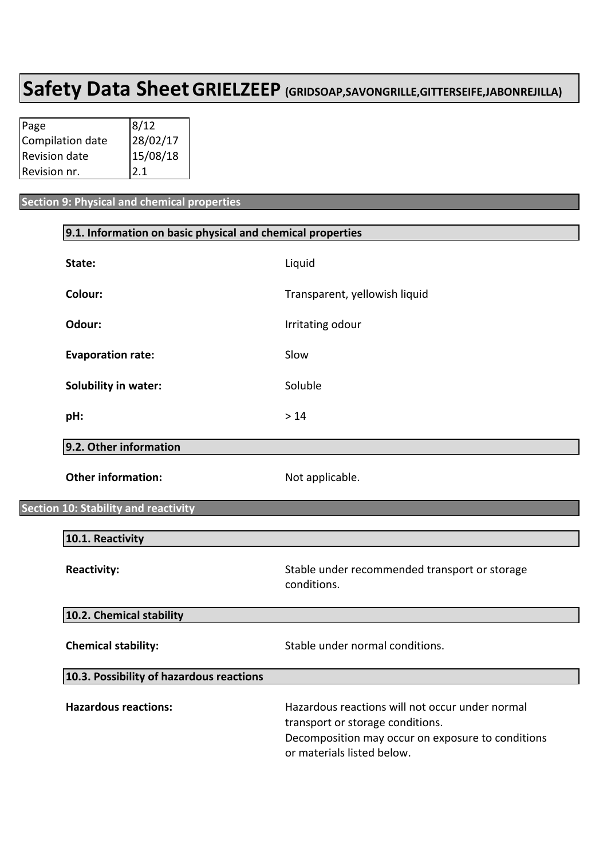| Page             | 8/12                 |
|------------------|----------------------|
| Compilation date | 28/02/17<br>15/08/18 |
| Revision date    |                      |
| Revision nr.     | 2.1                  |

**Secti** 

#### **Section 9: Physical and chemical properties**

| 9.1. Information on basic physical and chemical properties |                                                                                                                                                                        |  |  |
|------------------------------------------------------------|------------------------------------------------------------------------------------------------------------------------------------------------------------------------|--|--|
| State:                                                     | Liquid                                                                                                                                                                 |  |  |
| Colour:                                                    | Transparent, yellowish liquid                                                                                                                                          |  |  |
| Odour:                                                     | Irritating odour                                                                                                                                                       |  |  |
| <b>Evaporation rate:</b>                                   | Slow                                                                                                                                                                   |  |  |
| <b>Solubility in water:</b>                                | Soluble                                                                                                                                                                |  |  |
| pH:                                                        | $>14$                                                                                                                                                                  |  |  |
| 9.2. Other information                                     |                                                                                                                                                                        |  |  |
| <b>Other information:</b>                                  | Not applicable.                                                                                                                                                        |  |  |
| on 10: Stability and reactivity                            |                                                                                                                                                                        |  |  |
| 10.1. Reactivity                                           |                                                                                                                                                                        |  |  |
| <b>Reactivity:</b>                                         | Stable under recommended transport or storage<br>conditions.                                                                                                           |  |  |
| 10.2. Chemical stability                                   |                                                                                                                                                                        |  |  |
| <b>Chemical stability:</b>                                 | Stable under normal conditions.                                                                                                                                        |  |  |
| 10.3. Possibility of hazardous reactions                   |                                                                                                                                                                        |  |  |
| <b>Hazardous reactions:</b>                                | Hazardous reactions will not occur under normal<br>transport or storage conditions.<br>Decomposition may occur on exposure to conditions<br>or materials listed below. |  |  |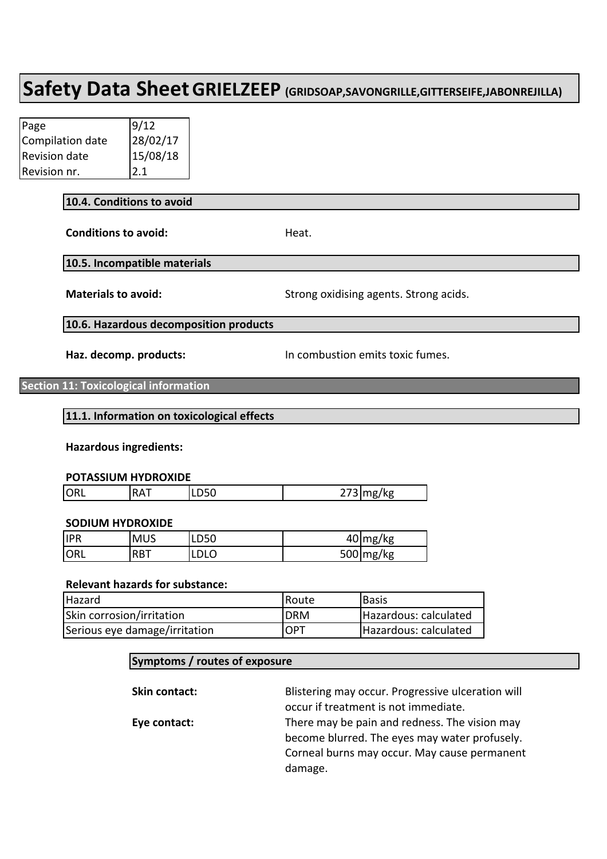| Page             | 9/12                 |
|------------------|----------------------|
| Compilation date | 28/02/17<br>15/08/18 |
| Revision date    |                      |
| Revision nr.     | 2.1                  |

#### **10.4. Conditions to avoid**

**Conditions to avoid:** Heat.

#### **10.5. Incompatible materials**

**Materials to avoid:** Strong oxidising agents. Strong acids.

**10.6. Hazardous decomposition products**

Haz. decomp. products: **In combustion emits toxic fumes.** 

**Section 11: Toxicological information** 

#### **11.1.** Information on toxicological effects

#### **Hazardous ingredients:**

#### **POTASSIUM HYDROXIDE**

| <b>JORI</b><br>. | $\mathbf{r}$<br>D<br>v<br>. . | LUJU | /kø |
|------------------|-------------------------------|------|-----|

#### **SODIUM HYDROXIDE**

| <b>IPR</b>  | <b>MUS</b> | LD50 | $40$ mg/kg            |
|-------------|------------|------|-----------------------|
| <b>IORL</b> | <b>RBT</b> | LDLO | $500 \, \text{mg/kg}$ |

#### **Relevant hazards for substance:**

| lHazard                       | <b>Route</b> | l Basis               |
|-------------------------------|--------------|-----------------------|
| Skin corrosion/irritation     | IDRM         | Hazardous: calculated |
| Serious eye damage/irritation | <b>IOPT</b>  | Hazardous: calculated |

#### **Symptoms / routes of exposure**

| Skin contact: | Blistering may occur. Progressive ulceration will |
|---------------|---------------------------------------------------|
|               | occur if treatment is not immediate.              |
| Eye contact:  | There may be pain and redness. The vision may     |
|               | become blurred. The eyes may water profusely.     |
|               | Corneal burns may occur. May cause permanent      |
|               | damage.                                           |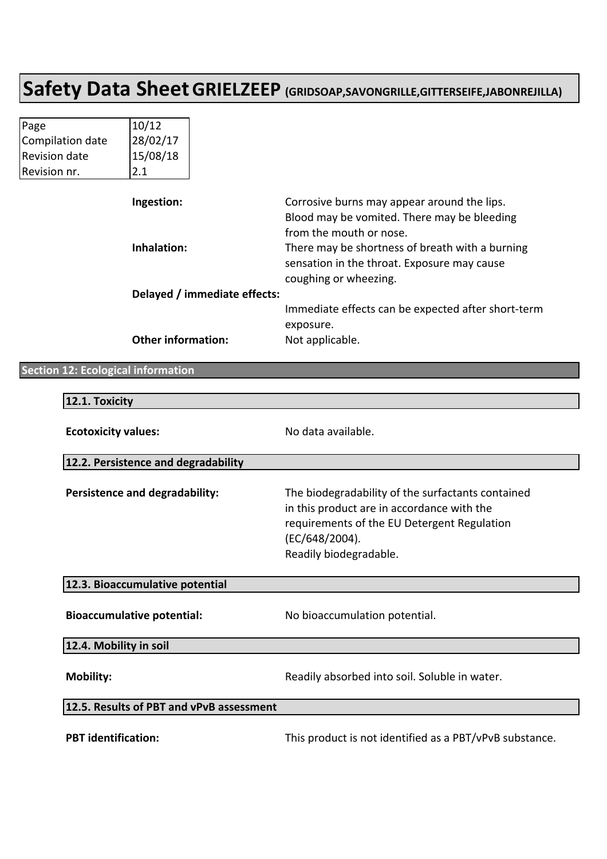| Page                 | 10/12                  |
|----------------------|------------------------|
| Compilation date     |                        |
| <b>Revision date</b> | $28/02/17$<br>15/08/18 |
| Revision nr.         | 2.1                    |

| Ingestion:                   | Corrosive burns may appear around the lips.<br>Blood may be vomited. There may be bleeding |
|------------------------------|--------------------------------------------------------------------------------------------|
|                              | from the mouth or nose.                                                                    |
| Inhalation:                  | There may be shortness of breath with a burning                                            |
|                              | sensation in the throat. Exposure may cause                                                |
|                              | coughing or wheezing.                                                                      |
| Delayed / immediate effects: |                                                                                            |
|                              | Immediate effects can be expected after short-term                                         |
|                              | exposure.                                                                                  |
| <b>Other information:</b>    | Not applicable.                                                                            |

#### **Section 12: Ecological information**

| 12.1. Toxicity                           |                                                                                                                                                                                            |  |
|------------------------------------------|--------------------------------------------------------------------------------------------------------------------------------------------------------------------------------------------|--|
| <b>Ecotoxicity values:</b>               | No data available.                                                                                                                                                                         |  |
| 12.2. Persistence and degradability      |                                                                                                                                                                                            |  |
| Persistence and degradability:           | The biodegradability of the surfactants contained<br>in this product are in accordance with the<br>requirements of the EU Detergent Regulation<br>(EC/648/2004).<br>Readily biodegradable. |  |
| 12.3. Bioaccumulative potential          |                                                                                                                                                                                            |  |
| <b>Bioaccumulative potential:</b>        | No bioaccumulation potential.                                                                                                                                                              |  |
| 12.4. Mobility in soil                   |                                                                                                                                                                                            |  |
| <b>Mobility:</b>                         | Readily absorbed into soil. Soluble in water.                                                                                                                                              |  |
| 12.5. Results of PBT and vPvB assessment |                                                                                                                                                                                            |  |
| <b>PBT</b> identification:               | This product is not identified as a PBT/vPvB substance.                                                                                                                                    |  |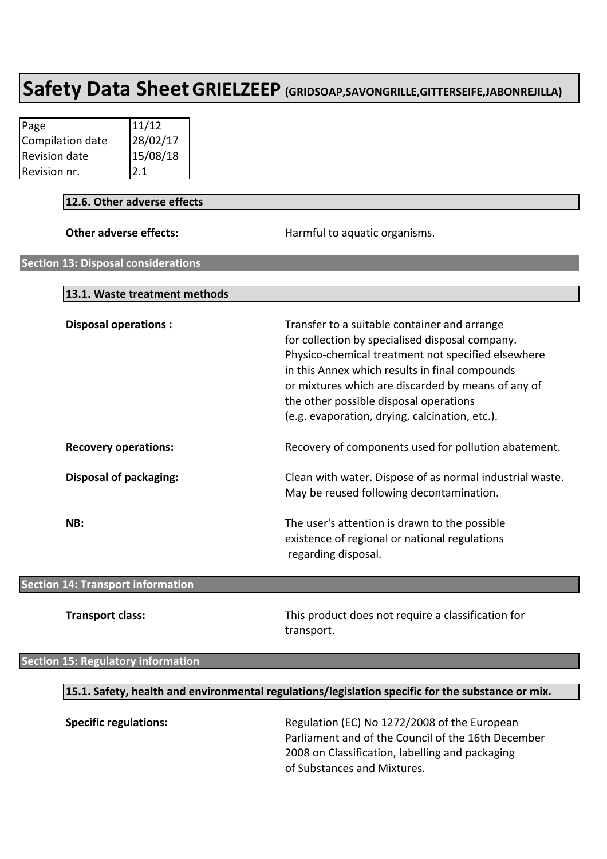| Page             | 11/12                  |
|------------------|------------------------|
| Compilation date |                        |
| Revision date    | $28/02/17$<br>15/08/18 |
| Revision nr.     | 2.1                    |

#### **12.6. Other adverse effects**

| Other adverse effects:                     | Harmful to aquatic organisms.                                                                                                                                                                                                                                                                                                                             |
|--------------------------------------------|-----------------------------------------------------------------------------------------------------------------------------------------------------------------------------------------------------------------------------------------------------------------------------------------------------------------------------------------------------------|
| <b>Section 13: Disposal considerations</b> |                                                                                                                                                                                                                                                                                                                                                           |
|                                            |                                                                                                                                                                                                                                                                                                                                                           |
| 13.1. Waste treatment methods              |                                                                                                                                                                                                                                                                                                                                                           |
| <b>Disposal operations:</b>                | Transfer to a suitable container and arrange<br>for collection by specialised disposal company.<br>Physico-chemical treatment not specified elsewhere<br>in this Annex which results in final compounds<br>or mixtures which are discarded by means of any of<br>the other possible disposal operations<br>(e.g. evaporation, drying, calcination, etc.). |
| <b>Recovery operations:</b>                | Recovery of components used for pollution abatement.                                                                                                                                                                                                                                                                                                      |
| <b>Disposal of packaging:</b>              | Clean with water. Dispose of as normal industrial waste.<br>May be reused following decontamination.                                                                                                                                                                                                                                                      |
| NB:                                        | The user's attention is drawn to the possible<br>existence of regional or national regulations<br>regarding disposal.                                                                                                                                                                                                                                     |

#### **Section 14: Transport information**

**Transport class:** This product does not require a classification for transport.

#### **Section 15: Regulatory information**

#### **15.1. Safety, health and environmental regulations/legislation specific for the substance or mix.**

**Specific regulations:** Regulation (EC) No 1272/2008 of the European Parliament and of the Council of the 16th December 2008 on Classification, labelling and packaging of Substances and Mixtures.